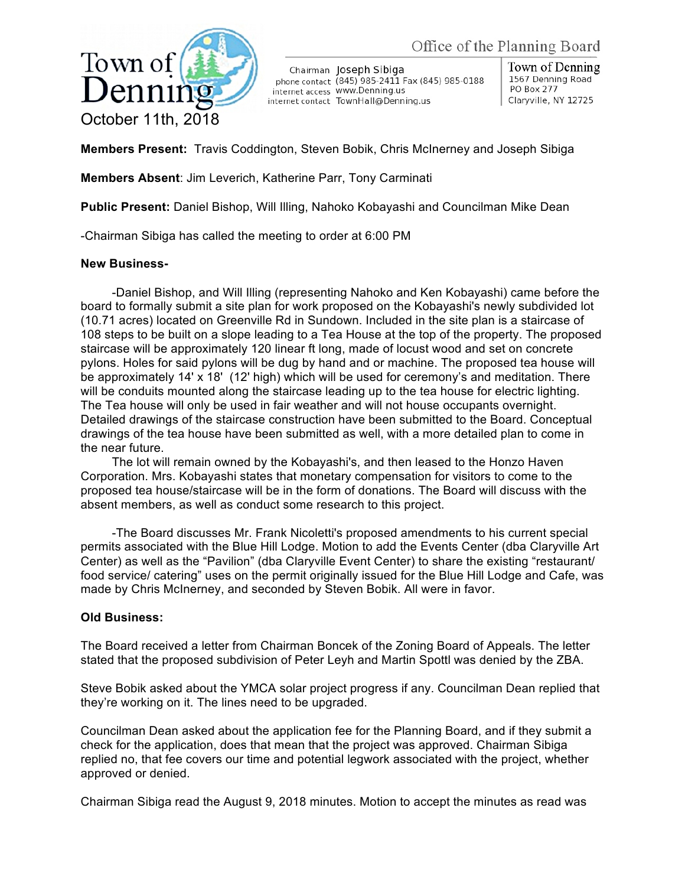

Chairman Joseph Sibiga phone contact (845) 985-2411 Fax (845) 985-0188 internet access WWW.Denning.us internet contact TownHall@Denning.us

Town of Denning 1567 Denning Road PO Box 277 Claryville, NY 12725

**Members Present:** Travis Coddington, Steven Bobik, Chris McInerney and Joseph Sibiga

**Members Absent**: Jim Leverich, Katherine Parr, Tony Carminati

**Public Present:** Daniel Bishop, Will Illing, Nahoko Kobayashi and Councilman Mike Dean

-Chairman Sibiga has called the meeting to order at 6:00 PM

## **New Business-**

-Daniel Bishop, and Will Illing (representing Nahoko and Ken Kobayashi) came before the board to formally submit a site plan for work proposed on the Kobayashi's newly subdivided lot (10.71 acres) located on Greenville Rd in Sundown. Included in the site plan is a staircase of 108 steps to be built on a slope leading to a Tea House at the top of the property. The proposed staircase will be approximately 120 linear ft long, made of locust wood and set on concrete pylons. Holes for said pylons will be dug by hand and or machine. The proposed tea house will be approximately 14' x 18' (12' high) which will be used for ceremony's and meditation. There will be conduits mounted along the staircase leading up to the tea house for electric lighting. The Tea house will only be used in fair weather and will not house occupants overnight. Detailed drawings of the staircase construction have been submitted to the Board. Conceptual drawings of the tea house have been submitted as well, with a more detailed plan to come in the near future.

The lot will remain owned by the Kobayashi's, and then leased to the Honzo Haven Corporation. Mrs. Kobayashi states that monetary compensation for visitors to come to the proposed tea house/staircase will be in the form of donations. The Board will discuss with the absent members, as well as conduct some research to this project.

-The Board discusses Mr. Frank Nicoletti's proposed amendments to his current special permits associated with the Blue Hill Lodge. Motion to add the Events Center (dba Claryville Art Center) as well as the "Pavilion" (dba Claryville Event Center) to share the existing "restaurant/ food service/ catering" uses on the permit originally issued for the Blue Hill Lodge and Cafe, was made by Chris McInerney, and seconded by Steven Bobik. All were in favor.

## **Old Business:**

The Board received a letter from Chairman Boncek of the Zoning Board of Appeals. The letter stated that the proposed subdivision of Peter Leyh and Martin Spottl was denied by the ZBA.

Steve Bobik asked about the YMCA solar project progress if any. Councilman Dean replied that they're working on it. The lines need to be upgraded.

Councilman Dean asked about the application fee for the Planning Board, and if they submit a check for the application, does that mean that the project was approved. Chairman Sibiga replied no, that fee covers our time and potential legwork associated with the project, whether approved or denied.

Chairman Sibiga read the August 9, 2018 minutes. Motion to accept the minutes as read was